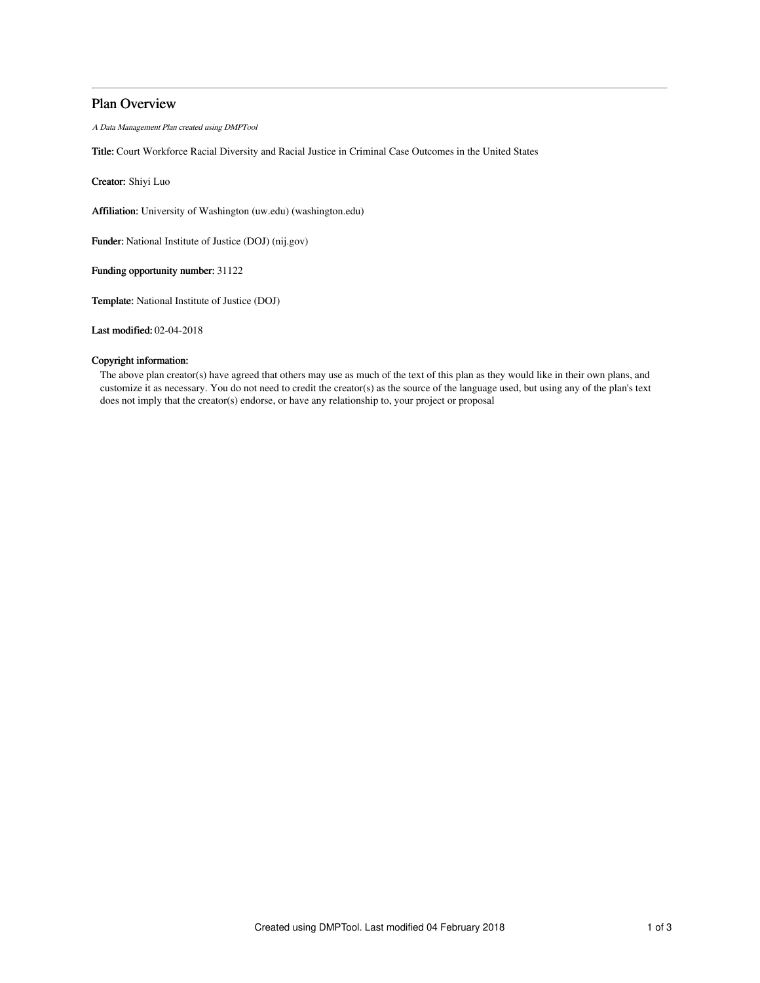# Plan Overview

A Data Management Plan created using DMPTool

Title: Court Workforce Racial Diversity and Racial Justice in Criminal Case Outcomes in the United States

Creator: Shiyi Luo

Affiliation: University of Washington (uw.edu) (washington.edu)

Funder: National Institute of Justice (DOJ) (nij.gov)

Funding opportunity number: 31122

Template: National Institute of Justice (DOJ)

Last modified: 02-04-2018

# Copyright information:

The above plan creator(s) have agreed that others may use as much of the text of this plan as they would like in their own plans, and customize it as necessary. You do not need to credit the creator(s) as the source of the language used, but using any of the plan's text does not imply that the creator(s) endorse, or have any relationship to, your project or proposal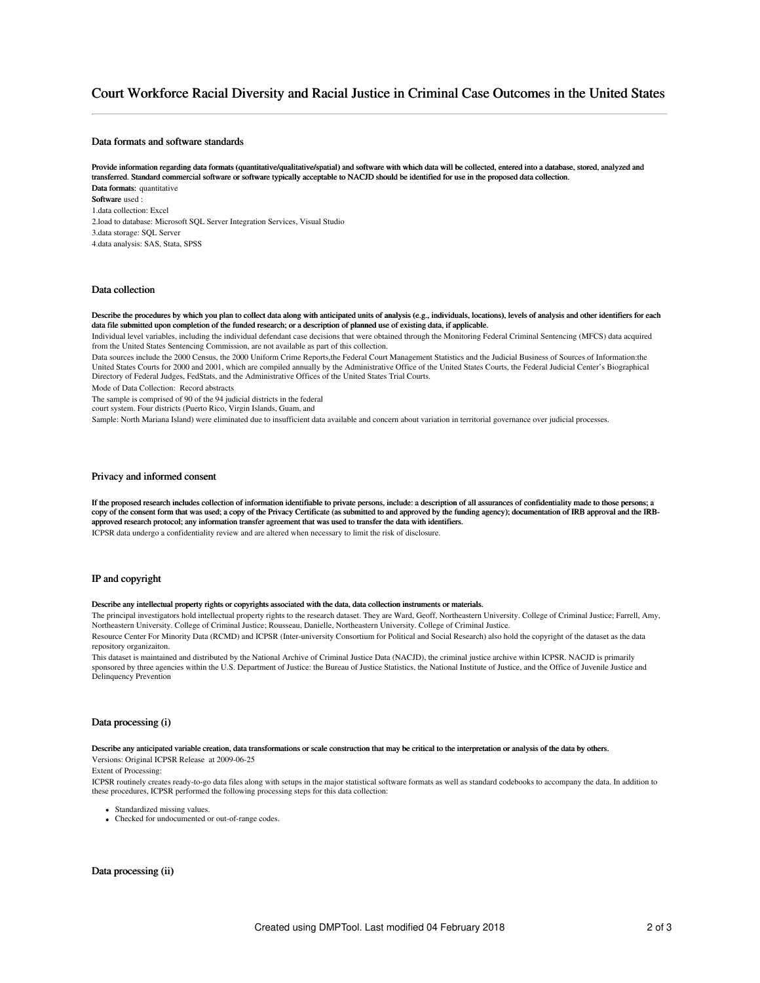# Court Workforce Racial Diversity and Racial Justice in Criminal Case Outcomes in the United States

# Data formats and software standards

Provide information regarding data formats (quantitative/qualitative/spatial) and software with which data will be collected, entered into a database, stored, analyzed and transferred. Standard commercial software or software typically acceptable to NACJD should be identified for use in the proposed data collection. Data formats: quantitative Software used : 1.data collection: Excel 2.load to database: Microsoft SQL Server Integration Services, Visual Studio 3.data storage: SQL Server 4.data analysis: SAS, Stata, SPSS

## Data collection

#### Describe the procedures by which you plan to collect data along with anticipated units of analysis (e.g., individuals, locations), levels of analysis and other identifiers for each data file submitted upon completion of the funded research; or a description of planned use of existing data, if applicable.

Individual level variables, including the individual defendant case decisions that were obtained through the Monitoring Federal Criminal Sentencing (MFCS) data acquired from the United States Sentencing Commission, are not available as part of this collection.

Data sources include the 2000 Census, the 2000 Uniform Crime Reports,the Federal Court Management Statistics and the Judicial Business of Sources of Information:the United States Courts for 2000 and 2001, which are compiled annually by the Administrative Office of the United States Courts, the Federal Judicial Center's Biographical Directory of Federal Judges, FedStats, and the Administrative Offices of the United States Trial Courts.

Mode of Data Collection: Record abstracts

The sample is comprised of 90 of the 94 judicial districts in the federal

court system. Four districts (Puerto Rico, Virgin Islands, Guam, and

Sample: North Mariana Island) were eliminated due to insufficient data available and concern about variation in territorial governance over judicial processes.

### Privacy and informed consent

If the proposed research includes collection of information identifiable to private persons, include: a description of all assurances of confidentiality made to those persons; a copy of the consent form that was used; a copy of the Privacy Certificate (as submitted to and approved by the funding agency); documentation of IRB approval and the IRBapproved research protocol; any information transfer agreement that was used to transfer the data with identifiers. ICPSR data undergo a confidentiality review and are altered when necessary to limit the risk of disclosure.

# IP and copyright

#### Describe any intellectual property rights or copyrights associated with the data, data collection instruments or materials.

The principal investigators hold intellectual property rights to the research dataset. They are Ward, Geoff, Northeastern University. College of Criminal Justice; Farrell, Amy, Northeastern University. College of Criminal Justice; Rousseau, Danielle, Northeastern University. College of Criminal Justice.

Resource Center For Minority Data (RCMD) and ICPSR (Inter-university Consortium for Political and Social Research) also hold the copyright of the dataset as the data repository organizaiton.

This dataset is maintained and distributed by the National Archive of Criminal Justice Data (NACJD), the criminal justice archive within ICPSR. NACJD is primarily sponsored by three agencies within the U.S. Department of Justice: the Bureau of Justice Statistics, the National Institute of Justice, and the Office of Juvenile Justice and Delinquency Prevention

## Data processing (i)

#### Describe any anticipated variable creation, data transformations or scale construction that may be critical to the interpretation or analysis of the data by others.

Versions: Original ICPSR Release at 2009-06-25

Extent of Processing:

ICPSR routinely creates ready-to-go data files along with setups in the major statistical software formats as well as standard codebooks to accompany the data. In addition to these procedures, ICPSR performed the following processing steps for this data collection:

- Standardized missing values.
- Checked for undocumented or out-of-range codes.

Data processing (ii)